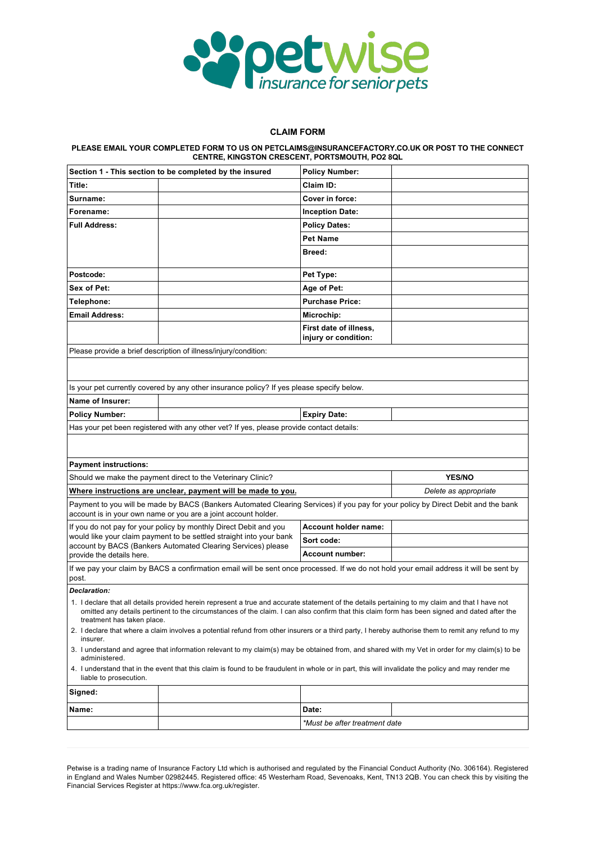

## **CLAIM FORM**

## **PLEASE EMAIL YOUR COMPLETED FORM TO US ON PETCLAIMS@INSURANCEFACTORY.CO.UK OR POST TO THE CONNECT CENTRE, KINGSTON CRESCENT, PORTSMOUTH, PO2 8QL**

| Section 1 - This section to be completed by the insured |                                                                                                                                                                                                                                                                                                 | <b>Policy Number:</b>                          |                       |  |
|---------------------------------------------------------|-------------------------------------------------------------------------------------------------------------------------------------------------------------------------------------------------------------------------------------------------------------------------------------------------|------------------------------------------------|-----------------------|--|
| Title:                                                  |                                                                                                                                                                                                                                                                                                 | Claim ID:                                      |                       |  |
| Surname:                                                |                                                                                                                                                                                                                                                                                                 | Cover in force:                                |                       |  |
| Forename:                                               |                                                                                                                                                                                                                                                                                                 | <b>Inception Date:</b>                         |                       |  |
| <b>Full Address:</b>                                    |                                                                                                                                                                                                                                                                                                 | <b>Policy Dates:</b>                           |                       |  |
|                                                         |                                                                                                                                                                                                                                                                                                 | <b>Pet Name</b>                                |                       |  |
|                                                         |                                                                                                                                                                                                                                                                                                 | Breed:                                         |                       |  |
|                                                         |                                                                                                                                                                                                                                                                                                 |                                                |                       |  |
| Postcode:                                               |                                                                                                                                                                                                                                                                                                 | Pet Type:                                      |                       |  |
| Sex of Pet:                                             |                                                                                                                                                                                                                                                                                                 | Age of Pet:                                    |                       |  |
| Telephone:                                              |                                                                                                                                                                                                                                                                                                 | <b>Purchase Price:</b>                         |                       |  |
| <b>Email Address:</b>                                   |                                                                                                                                                                                                                                                                                                 | Microchip:                                     |                       |  |
|                                                         |                                                                                                                                                                                                                                                                                                 | First date of illness,<br>injury or condition: |                       |  |
|                                                         | Please provide a brief description of illness/injury/condition:                                                                                                                                                                                                                                 |                                                |                       |  |
|                                                         |                                                                                                                                                                                                                                                                                                 |                                                |                       |  |
|                                                         |                                                                                                                                                                                                                                                                                                 |                                                |                       |  |
|                                                         | Is your pet currently covered by any other insurance policy? If yes please specify below.                                                                                                                                                                                                       |                                                |                       |  |
| Name of Insurer:                                        |                                                                                                                                                                                                                                                                                                 |                                                |                       |  |
| <b>Policy Number:</b>                                   |                                                                                                                                                                                                                                                                                                 | <b>Expiry Date:</b>                            |                       |  |
|                                                         | Has your pet been registered with any other vet? If yes, please provide contact details:                                                                                                                                                                                                        |                                                |                       |  |
|                                                         |                                                                                                                                                                                                                                                                                                 |                                                |                       |  |
|                                                         |                                                                                                                                                                                                                                                                                                 |                                                |                       |  |
| <b>Payment instructions:</b>                            |                                                                                                                                                                                                                                                                                                 |                                                |                       |  |
|                                                         |                                                                                                                                                                                                                                                                                                 |                                                |                       |  |
|                                                         | Should we make the payment direct to the Veterinary Clinic?                                                                                                                                                                                                                                     |                                                | <b>YES/NO</b>         |  |
|                                                         | Where instructions are unclear, payment will be made to you.                                                                                                                                                                                                                                    |                                                | Delete as appropriate |  |
|                                                         | Payment to you will be made by BACS (Bankers Automated Clearing Services) if you pay for your policy by Direct Debit and the bank<br>account is in your own name or you are a joint account holder.                                                                                             |                                                |                       |  |
|                                                         | If you do not pay for your policy by monthly Direct Debit and you                                                                                                                                                                                                                               | Account holder name:                           |                       |  |
|                                                         | would like your claim payment to be settled straight into your bank                                                                                                                                                                                                                             | Sort code:                                     |                       |  |
| provide the details here.                               | account by BACS (Bankers Automated Clearing Services) please                                                                                                                                                                                                                                    | Account number:                                |                       |  |
| post.                                                   | If we pay your claim by BACS a confirmation email will be sent once processed. If we do not hold your email address it will be sent by                                                                                                                                                          |                                                |                       |  |
| <b>Declaration:</b>                                     |                                                                                                                                                                                                                                                                                                 |                                                |                       |  |
| treatment has taken place.                              | 1. I declare that all details provided herein represent a true and accurate statement of the details pertaining to my claim and that I have not<br>omitted any details pertinent to the circumstances of the claim. I can also confirm that this claim form has been signed and dated after the |                                                |                       |  |
|                                                         | 2. I declare that where a claim involves a potential refund from other insurers or a third party, I hereby authorise them to remit any refund to my                                                                                                                                             |                                                |                       |  |
| insurer.                                                | 3. I understand and agree that information relevant to my claim(s) may be obtained from, and shared with my Vet in order for my claim(s) to be                                                                                                                                                  |                                                |                       |  |
| administered.<br>liable to prosecution.                 | 4. I understand that in the event that this claim is found to be fraudulent in whole or in part, this will invalidate the policy and may render me                                                                                                                                              |                                                |                       |  |
| Signed:                                                 |                                                                                                                                                                                                                                                                                                 |                                                |                       |  |
| Name:                                                   |                                                                                                                                                                                                                                                                                                 | Date:                                          |                       |  |
|                                                         |                                                                                                                                                                                                                                                                                                 | *Must be after treatment date                  |                       |  |

Petwise is a trading name of Insurance Factory Ltd which is authorised and regulated by the Financial Conduct Authority (No. 306164). Registered in England and Wales Number 02982445. Registered office: 45 Westerham Road, Sevenoaks, Kent, TN13 2QB. You can check this by visiting the Financial Services Register at https://www.fca.org.uk/register.